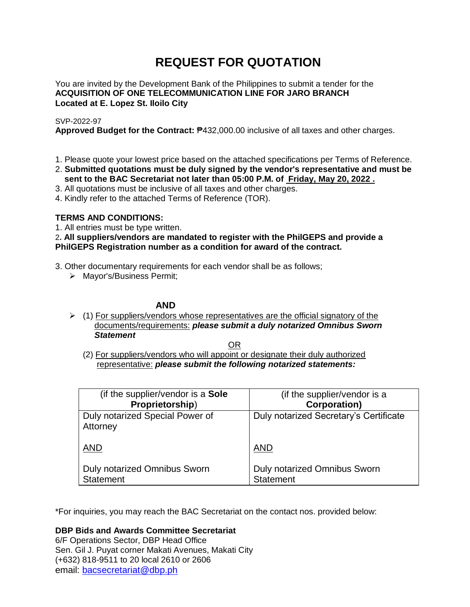# **REQUEST FOR QUOTATION**

You are invited by the Development Bank of the Philippines to submit a tender for the **ACQUISITION OF ONE TELECOMMUNICATION LINE FOR JARO BRANCH Located at E. Lopez St. Iloilo City**

## SVP-2022-97

**Approved Budget for the Contract:** ₱432,000.00 inclusive of all taxes and other charges.

- 1. Please quote your lowest price based on the attached specifications per Terms of Reference.
- 2. **Submitted quotations must be duly signed by the vendor's representative and must be sent to the BAC Secretariat not later than 05:00 P.M. of Friday, May 20, 2022 .**
- 3. All quotations must be inclusive of all taxes and other charges.
- 4. Kindly refer to the attached Terms of Reference (TOR).

## **TERMS AND CONDITIONS:**

1. All entries must be type written.

2**. All suppliers/vendors are mandated to register with the PhilGEPS and provide a PhilGEPS Registration number as a condition for award of the contract.**

- 3. Other documentary requirements for each vendor shall be as follows;
	- > Mayor's/Business Permit;

## **AND**

 $\geq$  (1) For suppliers/vendors whose representatives are the official signatory of the documents/requirements: *please submit a duly notarized Omnibus Sworn Statement*

<u>OR Starting and the Starting OR Starting</u>

(2) For suppliers/vendors who will appoint or designate their duly authorized representative: *please submit the following notarized statements:*

| (if the supplier/vendor is a Sole           | (if the supplier/vendor is a           |
|---------------------------------------------|----------------------------------------|
| Proprietorship)                             | <b>Corporation)</b>                    |
| Duly notarized Special Power of<br>Attorney | Duly notarized Secretary's Certificate |
| <b>AND</b>                                  | <b>AND</b>                             |
| Duly notarized Omnibus Sworn                | Duly notarized Omnibus Sworn           |
| <b>Statement</b>                            | <b>Statement</b>                       |

\*For inquiries, you may reach the BAC Secretariat on the contact nos. provided below:

**DBP Bids and Awards Committee Secretariat** 

6/F Operations Sector, DBP Head Office Sen. Gil J. Puyat corner Makati Avenues, Makati City (+632) 818-9511 to 20 local 2610 or 2606 email: [bacsecretariat@dbp.ph](mailto:bacsecretariat@dbp.ph)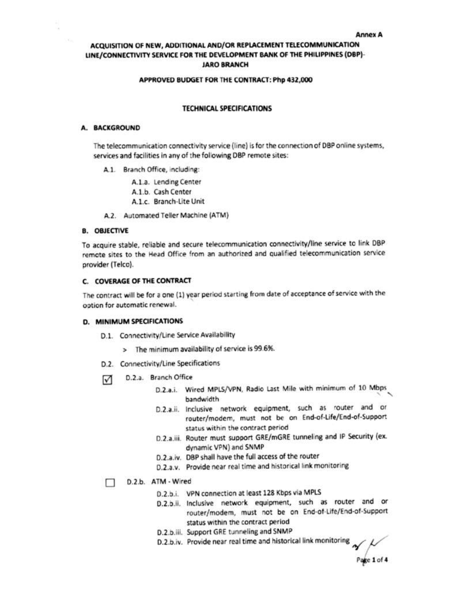#### **Annex A**

## ACQUISITION OF NEW, ADDITIONAL AND/OR REPLACEMENT TELECOMMUNICATION LINE/CONNECTIVITY SERVICE FOR THE DEVELOPMENT BANK OF THE PHILIPPINES (DBP)-**JARO BRANCH**

#### APPROVED BUDGET FOR THE CONTRACT: Php 432,000

### **TECHNICAL SPECIFICATIONS**

#### A. BACKGROUND

The telecommunication connectivity service (line) is for the connection of DBP online systems, services and facilities in any of the following DBP remote sites:

- A.1. Branch Office, including:
	- A.1.a. Lending Center
	- A.1.b. Cash Center
	- A.1.c. Branch-Lite Unit
- A.2. Automated Teller Machine (ATM)

#### **B. OBJECTIVE**

To acquire stable, reliable and secure telecommunication connectivity/line service to link DBP remote sites to the Head Office from an authorized and qualified telecommunication service provider (Telco).

#### C. COVERAGE OF THE CONTRACT

The contract will be for a one (1) year period starting from date of acceptance of service with the option for automatic renewal.

#### D. MINIMUM SPECIFICATIONS

- D.1. Connectivity/Line Service Availability
	- > The minimum availability of service is 99.6%.
- D.2. Connectivity/Line Specifications
- D.2.a. Branch Office ☑
	- D.2.a.i. Wired MPLS/VPN, Radio Last Mile with minimum of 10 Mbps bandwidth
	- D.2.a.ii. Inclusive network equipment, such as router and or router/modem, must not be on End-of-Life/End-of-Support status within the contract period
	- D.2.a.iii. Router must support GRE/mGRE tunneling and IP Security (ex. dynamic VPN) and SNMP
	- D.2.a.iv. DBP shall have the full access of the router
	- D.2.a.v. Provide near real time and historical link monitoring
- D.2.b. ATM Wired п
	- D.2.b.i. VPN connection at least 128 Kbps via MPLS
	- D.2.b.ii. Inclusive network equipment, such as router and or router/modem, must not be on End-of-Life/End-of-Support status within the contract period
	- D.2.b.iii. Support GRE tunneling and SNMP
	- D.2.b.iv. Provide near real time and historical link monitoring

Page 1 of 4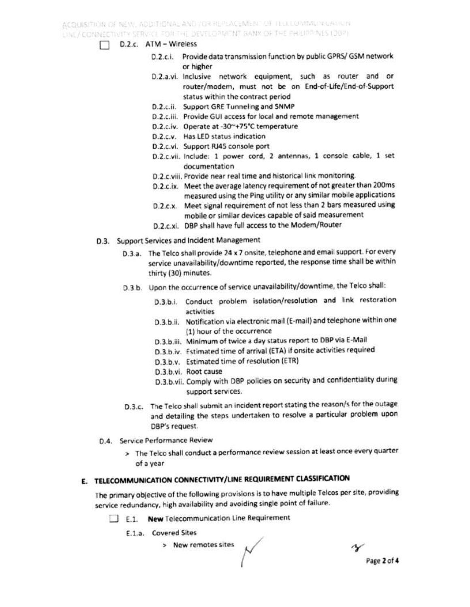#### D.2.c. ATM - Wireless

- D.2.c.i. Provide data transmission function by public GPRS/ GSM network or higher
- D.2.a.vi. Inclusive network equipment, such as router and or router/modem, must not be on End-of-Life/End-of-Support status within the contract period
- D.2.c.ii. Support GRE Tunneling and SNMP
- D.2.c.iii. Provide GUI access for local and remote management
- D.2.c.iv. Operate at -30"+75"C temperature
- D.2.c.v. Has LED status indication
- D.2.c.vi. Support RJ45 console port
- D.2.c.vii. Include: 1 power cord, 2 antennas, 1 console cable, 1 set documentation
- D.2.c.viii. Provide near real time and historical link monitoring.
- D.2.c.ix. Meet the average latency requirement of not greater than 200ms measured using the Ping utility or any similar mobile applications
- D.2.c.x. Meet signal requirement of not less than 2 bars measured using mobile or similar devices capable of said measurement
- D.2.c.xi. DBP shall have full access to the Modem/Router
- D.3. Support Services and Incident Management
	- D.3.a. The Telco shall provide 24 x 7 onsite, telephone and email support. For every service unavailability/downtime reported, the response time shall be within thirty (30) minutes.
	- D.3.b. Upon the occurrence of service unavailability/downtime, the Telco shall:
		- D.3.b.i. Conduct problem isolation/resolution and link restoration activities
		- D.3.b.ii. Notification via electronic mail (E-mail) and telephone within one (1) hour of the occurrence
		- D.3.b.iii. Minimum of twice a day status report to DBP via E-Mail
		- D.3.b.iv. Estimated time of arrival (ETA) if onsite activities required
		- D.3.b.v. Estimated time of resolution (ETR)
		- D.3.b.vi. Root cause
		- D.3.b.vii. Comply with DBP policies on security and confidentiality during support services.
	- D.3.c. The Telco shall submit an incident report stating the reason/s for the outage and detailing the steps undertaken to resolve a particular problem upon DBP's request.
- D.4. Service Performance Review
	- > The Telco shall conduct a performance review session at least once every quarter of a year

## E. TELECOMMUNICATION CONNECTIVITY/LINE REQUIREMENT CLASSIFICATION

The primary objective of the following provisions is to have multiple Telcos per site, providing service redundancy, high availability and avoiding single point of failure.

- E.1. New Telecommunication Line Requirement
	- **E.1.a.** Covered Sites
		- > New remotes sites

Page 2 of 4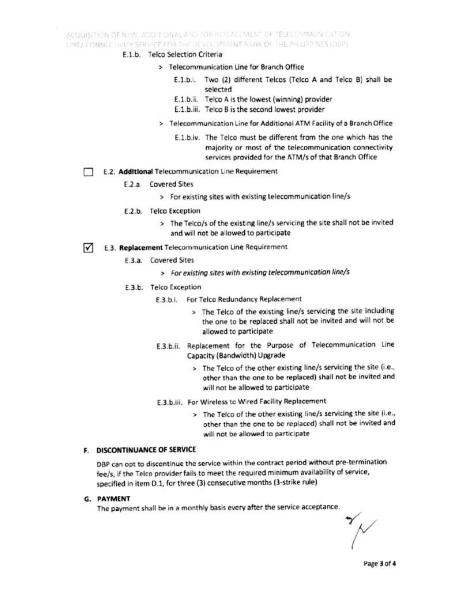ACQUISITION OF NEW, ADDITIONAL AND YOR REPLACEMENT OF TELECOMMUNICATION LINE/CONNICTIVITY SERVICE FOR THE DEVELOPMENT BANK OF THE PHILLEP NES (DBP)

## E.1.b. Telco Selection Criteria

- > Telecommunication Line for Branch Office
	- E.1.b.i. Two (2) different Telcos (Telco A and Telco B) shall be selected
	- E.1.b.ii. Telco A is the lowest (winning) provider
	- E.1.b.iii. Telco B is the second lowest provider
- > Telecommunication Line for Additional ATM Facility of a Branch Office
	- E.1.b.iv. The Telco must be different from the one which has the majority or most of the telecommunication connectivity services provided for the ATM/s of that Branch Office
- E.2. Additional Telecommunication Line Requirement
	- E.2.a. Covered Sites
		- > For existing sites with existing telecommunication line/s
	- E.2.b. Telco Exception
		- > The Telco/s of the existing line/s servicing the site shall not be invited and will not be allowed to participate
- M E.3. Replacement Telecommunication Line Requirement
	- E.3.a. Covered Sites
		- > For existing sites with existing telecommunication line/s
	- E.3.b. Telco Exception
		- E.3.b.i. For Telco Redundancy Replacement
			- > The Telco of the existing line/s servicing the site including the one to be replaced shall not be invited and will not be allowed to participate
		- E.3.b.ii. Replacement for the Purpose of Telecommunication Line Capacity (Bandwidth) Upgrade
			- > The Telco of the other existing line/s servicing the site (i.e., other than the one to be replaced) shall not be invited and will not be allowed to participate
		- E.3.b.iii. For Wireless to Wired Facility Replacement
			- > The Telco of the other existing line/s servicing the site (i.e., other than the one to be replaced) shall not be invited and will not be allowed to participate

## F. DISCONTINUANCE OF SERVICE

DBP can opt to discontinue the service within the contract period without pre-termination fee/s, if the Telco provider fails to meet the required minimum availability of service, specified in item D.1, for three (3) consecutive months (3-strike rule)

G. PAYMENT

The payment shall be in a monthly basis every after the service acceptance.